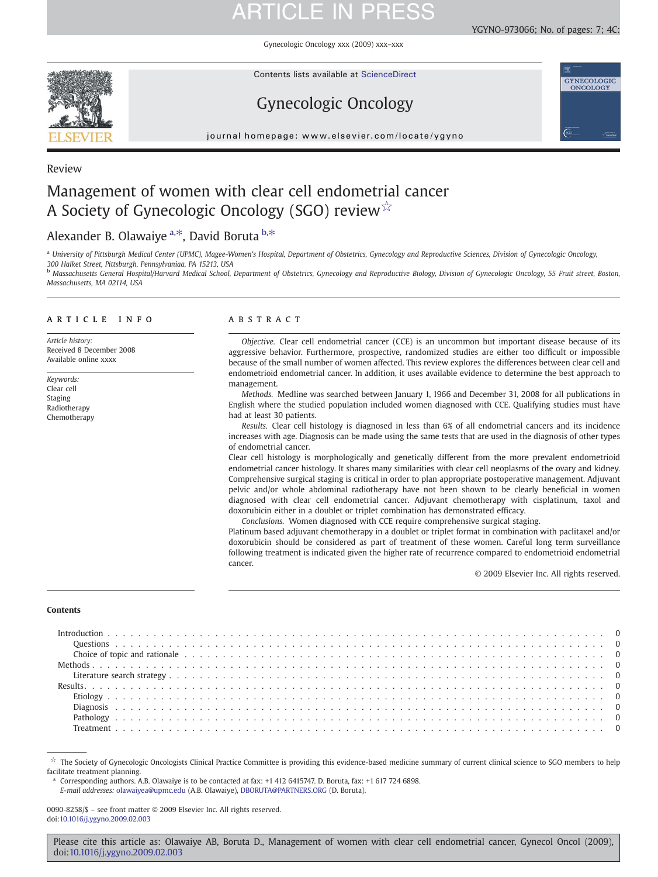Gynecologic Oncology xxx (2009) xxx–xxx



Review

Contents lists available at ScienceDirect

## Gynecologic Oncology





journal homepage: www.elsevier.com/locate/ygyno

## Management of women with clear cell endometrial cancer A Society of Gynecologic Oncology (SGO) review☆

## Alexander B. Olawaiye <sup>a,\*</sup>, David Boruta <sup>b,\*</sup>

a University of Pittsburgh Medical Center (UPMC), Magee-Women's Hospital, Department of Obstetrics, Gynecology and Reproductive Sciences, Division of Gynecologic Oncology, 300 Halket Street, Pittsburgh, Pennsylvaniaa, PA 15213, USA

**b Massachusetts General Hospital/Harvard Medical School, Department of Obstetrics, Gynecology and Reproductive Biology, Division of Gynecologic Oncology, 55 Fruit street, Boston,** Massachusetts, MA 02114, USA

### article info abstract

Article history: Received 8 December 2008 Available online xxxx

Keywords: Clear cell Staging Radiotherapy Chemotherapy

Objective. Clear cell endometrial cancer (CCE) is an uncommon but important disease because of its aggressive behavior. Furthermore, prospective, randomized studies are either too difficult or impossible because of the small number of women affected. This review explores the differences between clear cell and endometrioid endometrial cancer. In addition, it uses available evidence to determine the best approach to management.

Methods. Medline was searched between January 1, 1966 and December 31, 2008 for all publications in English where the studied population included women diagnosed with CCE. Qualifying studies must have had at least 30 patients.

Results. Clear cell histology is diagnosed in less than 6% of all endometrial cancers and its incidence increases with age. Diagnosis can be made using the same tests that are used in the diagnosis of other types of endometrial cancer.

Clear cell histology is morphologically and genetically different from the more prevalent endometrioid endometrial cancer histology. It shares many similarities with clear cell neoplasms of the ovary and kidney. Comprehensive surgical staging is critical in order to plan appropriate postoperative management. Adjuvant pelvic and/or whole abdominal radiotherapy have not been shown to be clearly beneficial in women diagnosed with clear cell endometrial cancer. Adjuvant chemotherapy with cisplatinum, taxol and doxorubicin either in a doublet or triplet combination has demonstrated efficacy.

Conclusions. Women diagnosed with CCE require comprehensive surgical staging.

Platinum based adjuvant chemotherapy in a doublet or triplet format in combination with paclitaxel and/or doxorubicin should be considered as part of treatment of these women. Careful long term surveillance following treatment is indicated given the higher rate of recurrence compared to endometrioid endometrial cancer.

© 2009 Elsevier Inc. All rights reserved.

#### **Contents**

 $\overrightarrow{x}$  The Society of Gynecologic Oncologists Clinical Practice Committee is providing this evidence-based medicine summary of current clinical science to SGO members to help facilitate treatment planning.

⁎ Corresponding authors. A.B. Olawaiye is to be contacted at fax: +1 412 6415747. D. Boruta, fax: +1 617 724 6898. E-mail addresses: [olawaiyea@upmc.edu](mailto:olawaiyea@upmc.edu) (A.B. Olawaiye), [DBORUTA@PARTNERS.ORG](mailto:DBORUTA@PARTNERS.ORG) (D. Boruta).

0090-8258/\$ – see front matter © 2009 Elsevier Inc. All rights reserved. doi:[10.1016/j.ygyno.2009.02.003](http://dx.doi.org/10.1016/j.ygyno.2009.02.003)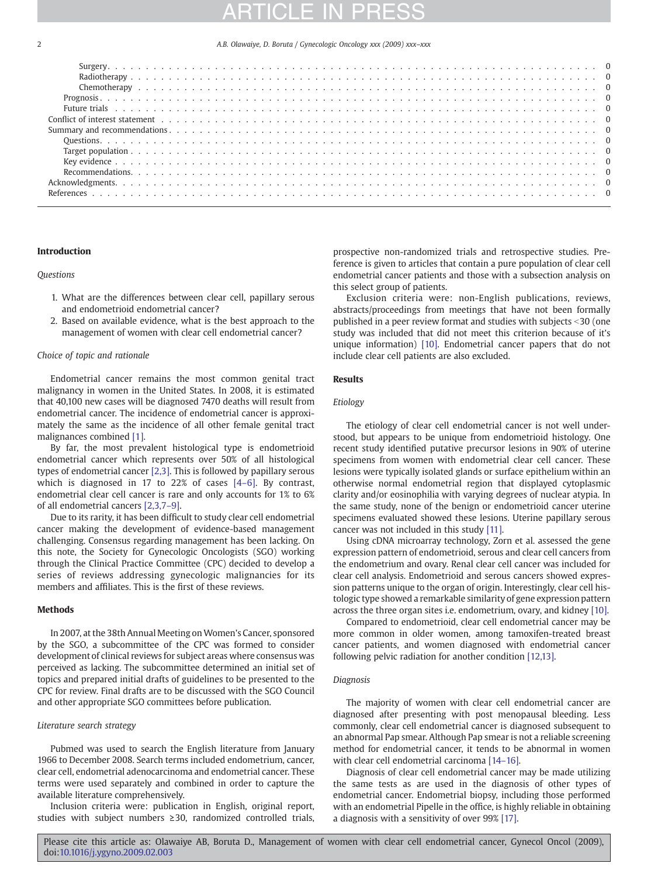#### 2 A.B. Olawaiye, D. Boruta / Gynecologic Oncology xxx (2009) xxx–xxx

#### Introduction

#### **Questions**

- 1. What are the differences between clear cell, papillary serous and endometrioid endometrial cancer?
- 2. Based on available evidence, what is the best approach to the management of women with clear cell endometrial cancer?

#### Choice of topic and rationale

Endometrial cancer remains the most common genital tract malignancy in women in the United States. In 2008, it is estimated that 40,100 new cases will be diagnosed 7470 deaths will result from endometrial cancer. The incidence of endometrial cancer is approximately the same as the incidence of all other female genital tract malignances combined [\[1\].](#page-5-0)

By far, the most prevalent histological type is endometrioid endometrial cancer which represents over 50% of all histological types of endometrial cancer [\[2,3\].](#page-5-0) This is followed by papillary serous which is diagnosed in 17 to 22% of cases [\[4](#page-5-0)–6]. By contrast, endometrial clear cell cancer is rare and only accounts for 1% to 6% of all endometrial cancers [\[2,3,7](#page-5-0)–9].

Due to its rarity, it has been difficult to study clear cell endometrial cancer making the development of evidence-based management challenging. Consensus regarding management has been lacking. On this note, the Society for Gynecologic Oncologists (SGO) working through the Clinical Practice Committee (CPC) decided to develop a series of reviews addressing gynecologic malignancies for its members and affiliates. This is the first of these reviews.

#### **Methods**

In 2007, at the 38th Annual Meeting on Women's Cancer, sponsored by the SGO, a subcommittee of the CPC was formed to consider development of clinical reviews for subject areas where consensus was perceived as lacking. The subcommittee determined an initial set of topics and prepared initial drafts of guidelines to be presented to the CPC for review. Final drafts are to be discussed with the SGO Council and other appropriate SGO committees before publication.

#### Literature search strategy

Pubmed was used to search the English literature from January 1966 to December 2008. Search terms included endometrium, cancer, clear cell, endometrial adenocarcinoma and endometrial cancer. These terms were used separately and combined in order to capture the available literature comprehensively.

Inclusion criteria were: publication in English, original report, studies with subject numbers ≥30, randomized controlled trials, prospective non-randomized trials and retrospective studies. Preference is given to articles that contain a pure population of clear cell endometrial cancer patients and those with a subsection analysis on this select group of patients.

Exclusion criteria were: non-English publications, reviews, abstracts/proceedings from meetings that have not been formally published in a peer review format and studies with subjects  $<$  30 (one study was included that did not meet this criterion because of it's unique information) [\[10\].](#page-6-0) Endometrial cancer papers that do not include clear cell patients are also excluded.

#### Results

#### Etiology

The etiology of clear cell endometrial cancer is not well understood, but appears to be unique from endometrioid histology. One recent study identified putative precursor lesions in 90% of uterine specimens from women with endometrial clear cell cancer. These lesions were typically isolated glands or surface epithelium within an otherwise normal endometrial region that displayed cytoplasmic clarity and/or eosinophilia with varying degrees of nuclear atypia. In the same study, none of the benign or endometrioid cancer uterine specimens evaluated showed these lesions. Uterine papillary serous cancer was not included in this study [\[11\]](#page-6-0).

Using cDNA microarray technology, Zorn et al. assessed the gene expression pattern of endometrioid, serous and clear cell cancers from the endometrium and ovary. Renal clear cell cancer was included for clear cell analysis. Endometrioid and serous cancers showed expression patterns unique to the organ of origin. Interestingly, clear cell histologic type showed a remarkable similarity of gene expression pattern across the three organ sites i.e. endometrium, ovary, and kidney [\[10\].](#page-6-0)

Compared to endometrioid, clear cell endometrial cancer may be more common in older women, among tamoxifen-treated breast cancer patients, and women diagnosed with endometrial cancer following pelvic radiation for another condition [\[12,13\].](#page-6-0)

#### Diagnosis

The majority of women with clear cell endometrial cancer are diagnosed after presenting with post menopausal bleeding. Less commonly, clear cell endometrial cancer is diagnosed subsequent to an abnormal Pap smear. Although Pap smear is not a reliable screening method for endometrial cancer, it tends to be abnormal in women with clear cell endometrial carcinoma [14-[16\].](#page-6-0)

Diagnosis of clear cell endometrial cancer may be made utilizing the same tests as are used in the diagnosis of other types of endometrial cancer. Endometrial biopsy, including those performed with an endometrial Pipelle in the office, is highly reliable in obtaining a diagnosis with a sensitivity of over 99% [\[17\].](#page-6-0)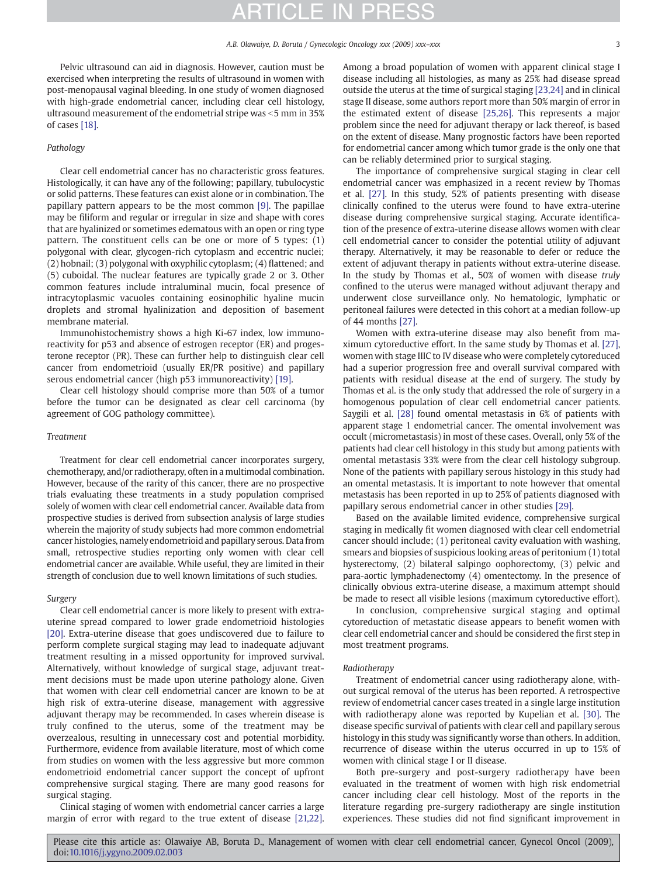Pelvic ultrasound can aid in diagnosis. However, caution must be exercised when interpreting the results of ultrasound in women with post-menopausal vaginal bleeding. In one study of women diagnosed with high-grade endometrial cancer, including clear cell histology, ultrasound measurement of the endometrial stripe was  $<$  5 mm in 35% of cases [\[18\]](#page-6-0).

### Pathology

Clear cell endometrial cancer has no characteristic gross features. Histologically, it can have any of the following; papillary, tubulocystic or solid patterns. These features can exist alone or in combination. The papillary pattern appears to be the most common [\[9\]](#page-6-0). The papillae may be filiform and regular or irregular in size and shape with cores that are hyalinized or sometimes edematous with an open or ring type pattern. The constituent cells can be one or more of 5 types: (1) polygonal with clear, glycogen-rich cytoplasm and eccentric nuclei; (2) hobnail; (3) polygonal with oxyphilic cytoplasm; (4) flattened; and (5) cuboidal. The nuclear features are typically grade 2 or 3. Other common features include intraluminal mucin, focal presence of intracytoplasmic vacuoles containing eosinophilic hyaline mucin droplets and stromal hyalinization and deposition of basement membrane material.

Immunohistochemistry shows a high Ki-67 index, low immunoreactivity for p53 and absence of estrogen receptor (ER) and progesterone receptor (PR). These can further help to distinguish clear cell cancer from endometrioid (usually ER/PR positive) and papillary serous endometrial cancer (high p53 immunoreactivity) [\[19\].](#page-6-0)

Clear cell histology should comprise more than 50% of a tumor before the tumor can be designated as clear cell carcinoma (by agreement of GOG pathology committee).

#### Treatment

Treatment for clear cell endometrial cancer incorporates surgery, chemotherapy, and/or radiotherapy, often in a multimodal combination. However, because of the rarity of this cancer, there are no prospective trials evaluating these treatments in a study population comprised solely of women with clear cell endometrial cancer. Available data from prospective studies is derived from subsection analysis of large studies wherein the majority of study subjects had more common endometrial cancer histologies, namely endometrioid and papillary serous. Data from small, retrospective studies reporting only women with clear cell endometrial cancer are available. While useful, they are limited in their strength of conclusion due to well known limitations of such studies.

#### Surgery

Clear cell endometrial cancer is more likely to present with extrauterine spread compared to lower grade endometrioid histologies [\[20\]](#page-6-0). Extra-uterine disease that goes undiscovered due to failure to perform complete surgical staging may lead to inadequate adjuvant treatment resulting in a missed opportunity for improved survival. Alternatively, without knowledge of surgical stage, adjuvant treatment decisions must be made upon uterine pathology alone. Given that women with clear cell endometrial cancer are known to be at high risk of extra-uterine disease, management with aggressive adjuvant therapy may be recommended. In cases wherein disease is truly confined to the uterus, some of the treatment may be overzealous, resulting in unnecessary cost and potential morbidity. Furthermore, evidence from available literature, most of which come from studies on women with the less aggressive but more common endometrioid endometrial cancer support the concept of upfront comprehensive surgical staging. There are many good reasons for surgical staging.

Clinical staging of women with endometrial cancer carries a large margin of error with regard to the true extent of disease [\[21,22\].](#page-6-0) Among a broad population of women with apparent clinical stage I disease including all histologies, as many as 25% had disease spread outside the uterus at the time of surgical staging [\[23,24\]](#page-6-0) and in clinical stage II disease, some authors report more than 50% margin of error in the estimated extent of disease [\[25,26\]](#page-6-0). This represents a major problem since the need for adjuvant therapy or lack thereof, is based on the extent of disease. Many prognostic factors have been reported for endometrial cancer among which tumor grade is the only one that can be reliably determined prior to surgical staging.

The importance of comprehensive surgical staging in clear cell endometrial cancer was emphasized in a recent review by Thomas et al. [\[27\]](#page-6-0). In this study, 52% of patients presenting with disease clinically confined to the uterus were found to have extra-uterine disease during comprehensive surgical staging. Accurate identification of the presence of extra-uterine disease allows women with clear cell endometrial cancer to consider the potential utility of adjuvant therapy. Alternatively, it may be reasonable to defer or reduce the extent of adjuvant therapy in patients without extra-uterine disease. In the study by Thomas et al., 50% of women with disease truly confined to the uterus were managed without adjuvant therapy and underwent close surveillance only. No hematologic, lymphatic or peritoneal failures were detected in this cohort at a median follow-up of 44 months [\[27\]](#page-6-0).

Women with extra-uterine disease may also benefit from maximum cytoreductive effort. In the same study by Thomas et al. [\[27\],](#page-6-0) women with stage IIIC to IV disease who were completely cytoreduced had a superior progression free and overall survival compared with patients with residual disease at the end of surgery. The study by Thomas et al. is the only study that addressed the role of surgery in a homogenous population of clear cell endometrial cancer patients. Saygili et al. [\[28\]](#page-6-0) found omental metastasis in 6% of patients with apparent stage 1 endometrial cancer. The omental involvement was occult (micrometastasis) in most of these cases. Overall, only 5% of the patients had clear cell histology in this study but among patients with omental metastasis 33% were from the clear cell histology subgroup. None of the patients with papillary serous histology in this study had an omental metastasis. It is important to note however that omental metastasis has been reported in up to 25% of patients diagnosed with papillary serous endometrial cancer in other studies [\[29\].](#page-6-0)

Based on the available limited evidence, comprehensive surgical staging in medically fit women diagnosed with clear cell endometrial cancer should include; (1) peritoneal cavity evaluation with washing, smears and biopsies of suspicious looking areas of peritonium (1) total hysterectomy, (2) bilateral salpingo oophorectomy, (3) pelvic and para-aortic lymphadenectomy (4) omentectomy. In the presence of clinically obvious extra-uterine disease, a maximum attempt should be made to resect all visible lesions (maximum cytoreductive effort).

In conclusion, comprehensive surgical staging and optimal cytoreduction of metastatic disease appears to benefit women with clear cell endometrial cancer and should be considered the first step in most treatment programs.

#### Radiotherapy

Treatment of endometrial cancer using radiotherapy alone, without surgical removal of the uterus has been reported. A retrospective review of endometrial cancer cases treated in a single large institution with radiotherapy alone was reported by Kupelian et al. [\[30\].](#page-6-0) The disease specific survival of patients with clear cell and papillary serous histology in this study was significantly worse than others. In addition, recurrence of disease within the uterus occurred in up to 15% of women with clinical stage I or II disease.

Both pre-surgery and post-surgery radiotherapy have been evaluated in the treatment of women with high risk endometrial cancer including clear cell histology. Most of the reports in the literature regarding pre-surgery radiotherapy are single institution experiences. These studies did not find significant improvement in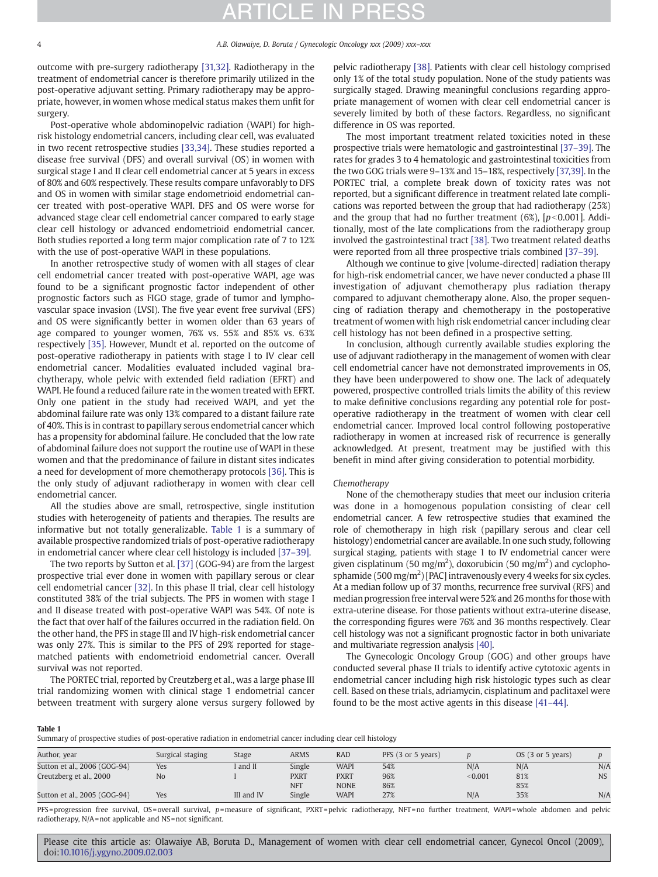outcome with pre-surgery radiotherapy [\[31,32\]](#page-6-0). Radiotherapy in the treatment of endometrial cancer is therefore primarily utilized in the post-operative adjuvant setting. Primary radiotherapy may be appropriate, however, in women whose medical status makes them unfit for surgery.

Post-operative whole abdominopelvic radiation (WAPI) for highrisk histology endometrial cancers, including clear cell, was evaluated in two recent retrospective studies [\[33,34\].](#page-6-0) These studies reported a disease free survival (DFS) and overall survival (OS) in women with surgical stage I and II clear cell endometrial cancer at 5 years in excess of 80% and 60% respectively. These results compare unfavorably to DFS and OS in women with similar stage endometrioid endometrial cancer treated with post-operative WAPI. DFS and OS were worse for advanced stage clear cell endometrial cancer compared to early stage clear cell histology or advanced endometrioid endometrial cancer. Both studies reported a long term major complication rate of 7 to 12% with the use of post-operative WAPI in these populations.

In another retrospective study of women with all stages of clear cell endometrial cancer treated with post-operative WAPI, age was found to be a significant prognostic factor independent of other prognostic factors such as FIGO stage, grade of tumor and lymphovascular space invasion (LVSI). The five year event free survival (EFS) and OS were significantly better in women older than 63 years of age compared to younger women, 76% vs. 55% and 85% vs. 63% respectively [\[35\]](#page-6-0). However, Mundt et al. reported on the outcome of post-operative radiotherapy in patients with stage I to IV clear cell endometrial cancer. Modalities evaluated included vaginal brachytherapy, whole pelvic with extended field radiation (EFRT) and WAPI. He found a reduced failure rate in the women treated with EFRT. Only one patient in the study had received WAPI, and yet the abdominal failure rate was only 13% compared to a distant failure rate of 40%. This is in contrast to papillary serous endometrial cancer which has a propensity for abdominal failure. He concluded that the low rate of abdominal failure does not support the routine use of WAPI in these women and that the predominance of failure in distant sites indicates a need for development of more chemotherapy protocols [\[36\].](#page-6-0) This is the only study of adjuvant radiotherapy in women with clear cell endometrial cancer.

All the studies above are small, retrospective, single institution studies with heterogeneity of patients and therapies. The results are informative but not totally generalizable. Table 1 is a summary of available prospective randomized trials of post-operative radiotherapy in endometrial cancer where clear cell histology is included [37–[39\].](#page-6-0)

The two reports by Sutton et al. [\[37\]](#page-6-0) (GOG-94) are from the largest prospective trial ever done in women with papillary serous or clear cell endometrial cancer [\[32\].](#page-6-0) In this phase II trial, clear cell histology constituted 38% of the trial subjects. The PFS in women with stage I and II disease treated with post-operative WAPI was 54%. Of note is the fact that over half of the failures occurred in the radiation field. On the other hand, the PFS in stage III and IV high-risk endometrial cancer was only 27%. This is similar to the PFS of 29% reported for stagematched patients with endometrioid endometrial cancer. Overall survival was not reported.

The PORTEC trial, reported by Creutzberg et al., was a large phase III trial randomizing women with clinical stage 1 endometrial cancer between treatment with surgery alone versus surgery followed by pelvic radiotherapy [\[38\]](#page-6-0). Patients with clear cell histology comprised only 1% of the total study population. None of the study patients was surgically staged. Drawing meaningful conclusions regarding appropriate management of women with clear cell endometrial cancer is severely limited by both of these factors. Regardless, no significant difference in OS was reported.

The most important treatment related toxicities noted in these prospective trials were hematologic and gastrointestinal [\[37](#page-6-0)–39]. The rates for grades 3 to 4 hematologic and gastrointestinal toxicities from the two GOG trials were 9–13% and 15–18%, respectively [\[37,39\].](#page-6-0) In the PORTEC trial, a complete break down of toxicity rates was not reported, but a significant difference in treatment related late complications was reported between the group that had radiotherapy (25%) and the group that had no further treatment  $(6%)$ ,  $[p<0.001]$ . Additionally, most of the late complications from the radiotherapy group involved the gastrointestinal tract [\[38\]](#page-6-0). Two treatment related deaths were reported from all three prospective trials combined [37–[39\].](#page-6-0)

Although we continue to give [volume-directed] radiation therapy for high-risk endometrial cancer, we have never conducted a phase III investigation of adjuvant chemotherapy plus radiation therapy compared to adjuvant chemotherapy alone. Also, the proper sequencing of radiation therapy and chemotherapy in the postoperative treatment of women with high risk endometrial cancer including clear cell histology has not been defined in a prospective setting.

In conclusion, although currently available studies exploring the use of adjuvant radiotherapy in the management of women with clear cell endometrial cancer have not demonstrated improvements in OS, they have been underpowered to show one. The lack of adequately powered, prospective controlled trials limits the ability of this review to make definitive conclusions regarding any potential role for postoperative radiotherapy in the treatment of women with clear cell endometrial cancer. Improved local control following postoperative radiotherapy in women at increased risk of recurrence is generally acknowledged. At present, treatment may be justified with this benefit in mind after giving consideration to potential morbidity.

#### **Chemotherany**

None of the chemotherapy studies that meet our inclusion criteria was done in a homogenous population consisting of clear cell endometrial cancer. A few retrospective studies that examined the role of chemotherapy in high risk (papillary serous and clear cell histology) endometrial cancer are available. In one such study, following surgical staging, patients with stage 1 to IV endometrial cancer were given cisplatinum (50 mg/m<sup>2</sup>), doxorubicin (50 mg/m<sup>2</sup>) and cyclophosphamide (500 mg/m<sup>2</sup>) [PAC] intravenously every 4 weeks for six cycles. At a median follow up of 37 months, recurrence free survival (RFS) and median progression free interval were 52% and 26 months for those with extra-uterine disease. For those patients without extra-uterine disease, the corresponding figures were 76% and 36 months respectively. Clear cell histology was not a significant prognostic factor in both univariate and multivariate regression analysis [\[40\].](#page-6-0)

The Gynecologic Oncology Group (GOG) and other groups have conducted several phase II trials to identify active cytotoxic agents in endometrial cancer including high risk histologic types such as clear cell. Based on these trials, adriamycin, cisplatinum and paclitaxel were found to be the most active agents in this disease [41–[44\].](#page-6-0)

Table 1

Summary of prospective studies of post-operative radiation in endometrial cancer including clear cell histology

| Author, year                 | Surgical staging | Stage      | <b>ARMS</b> | <b>RAD</b>  | PFS (3 or 5 years) |         | $OS(3 \text{ or } 5 \text{ years})$ |           |
|------------------------------|------------------|------------|-------------|-------------|--------------------|---------|-------------------------------------|-----------|
| Sutton et al., 2006 (GOG-94) | Yes              | and II     | Single      | <b>WAPI</b> | 54%                | N/A     | N/A                                 | N/A       |
| Creutzberg et al., 2000      | No               |            | <b>PXRT</b> | <b>PXRT</b> | 96%                | < 0.001 | 81%                                 | <b>NS</b> |
|                              |                  |            | <b>NFT</b>  | <b>NONE</b> | 86%                |         | 85%                                 |           |
| Sutton et al., 2005 (GOG-94) | Yes              | III and IV | Single      | <b>WAPI</b> | 27%                | N/A     | 35%                                 | N/A       |

PFS=progression free survival, OS=overall survival, p=measure of significant, PXRT=pelvic radiotherapy, NFT=no further treatment, WAPI=whole abdomen and pelvic radiotherapy, N/A =not applicable and NS =not significant.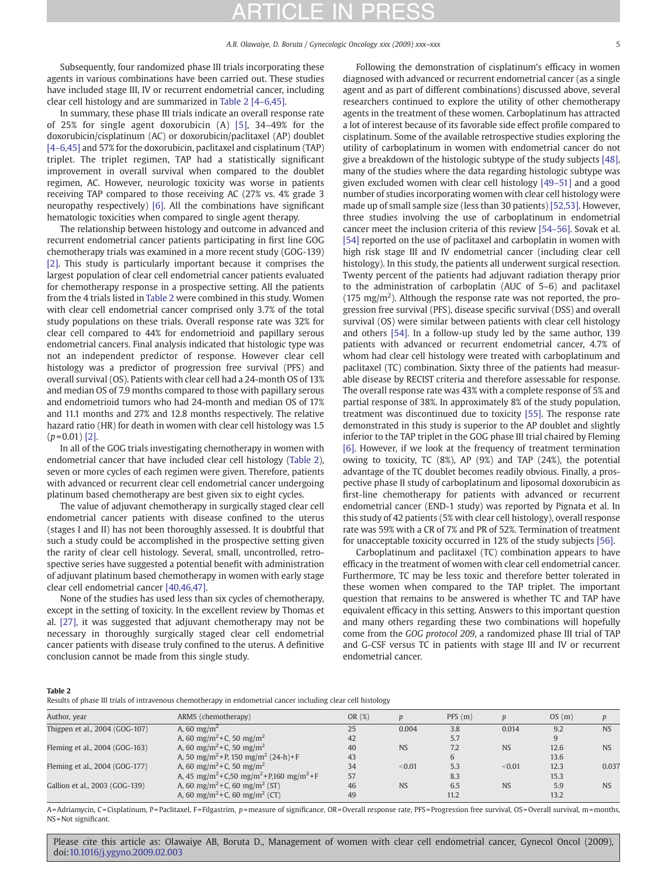Subsequently, four randomized phase III trials incorporating these agents in various combinations have been carried out. These studies have included stage III, IV or recurrent endometrial cancer, including clear cell histology and are summarized in Table 2 [4–[6,45\].](#page-5-0)

In summary, these phase III trials indicate an overall response rate of 25% for single agent doxorubicin (A) [\[5\],](#page-5-0) 34–49% for the doxorubicin/cisplatinum (AC) or doxorubicin/paclitaxel (AP) doublet [4–[6,45\]](#page-5-0) and 57% for the doxorubicin, paclitaxel and cisplatinum (TAP) triplet. The triplet regimen, TAP had a statistically significant improvement in overall survival when compared to the doublet regimen, AC. However, neurologic toxicity was worse in patients receiving TAP compared to those receiving AC (27% vs. 4% grade 3 neuropathy respectively) [\[6\]](#page-5-0). All the combinations have significant hematologic toxicities when compared to single agent therapy.

The relationship between histology and outcome in advanced and recurrent endometrial cancer patients participating in first line GOG chemotherapy trials was examined in a more recent study (GOG-139) [\[2\].](#page-5-0) This study is particularly important because it comprises the largest population of clear cell endometrial cancer patients evaluated for chemotherapy response in a prospective setting. All the patients from the 4 trials listed in Table 2 were combined in this study. Women with clear cell endometrial cancer comprised only 3.7% of the total study populations on these trials. Overall response rate was 32% for clear cell compared to 44% for endometrioid and papillary serous endometrial cancers. Final analysis indicated that histologic type was not an independent predictor of response. However clear cell histology was a predictor of progression free survival (PFS) and overall survival (OS). Patients with clear cell had a 24-month OS of 13% and median OS of 7.9 months compared to those with papillary serous and endometrioid tumors who had 24-month and median OS of 17% and 11.1 months and 27% and 12.8 months respectively. The relative hazard ratio (HR) for death in women with clear cell histology was 1.5  $(p= 0.01)$  [\[2\]](#page-5-0).

In all of the GOG trials investigating chemotherapy in women with endometrial cancer that have included clear cell histology (Table 2), seven or more cycles of each regimen were given. Therefore, patients with advanced or recurrent clear cell endometrial cancer undergoing platinum based chemotherapy are best given six to eight cycles.

The value of adjuvant chemotherapy in surgically staged clear cell endometrial cancer patients with disease confined to the uterus (stages I and II) has not been thoroughly assessed. It is doubtful that such a study could be accomplished in the prospective setting given the rarity of clear cell histology. Several, small, uncontrolled, retrospective series have suggested a potential benefit with administration of adjuvant platinum based chemotherapy in women with early stage clear cell endometrial cancer [\[40,46,47\]](#page-6-0).

None of the studies has used less than six cycles of chemotherapy, except in the setting of toxicity. In the excellent review by Thomas et al. [\[27\],](#page-6-0) it was suggested that adjuvant chemotherapy may not be necessary in thoroughly surgically staged clear cell endometrial cancer patients with disease truly confined to the uterus. A definitive conclusion cannot be made from this single study.

Following the demonstration of cisplatinum's efficacy in women diagnosed with advanced or recurrent endometrial cancer (as a single agent and as part of different combinations) discussed above, several researchers continued to explore the utility of other chemotherapy agents in the treatment of these women. Carboplatinum has attracted a lot of interest because of its favorable side effect profile compared to cisplatinum. Some of the available retrospective studies exploring the utility of carboplatinum in women with endometrial cancer do not give a breakdown of the histologic subtype of the study subjects [\[48\],](#page-6-0) many of the studies where the data regarding histologic subtype was given excluded women with clear cell histology [\[49](#page-6-0)–51] and a good number of studies incorporating women with clear cell histology were made up of small sample size (less than 30 patients) [\[52,53\].](#page-6-0) However, three studies involving the use of carboplatinum in endometrial cancer meet the inclusion criteria of this review [\[54](#page-6-0)–56]. Sovak et al. [\[54\]](#page-6-0) reported on the use of paclitaxel and carboplatin in women with high risk stage III and IV endometrial cancer (including clear cell histology). In this study, the patients all underwent surgical resection. Twenty percent of the patients had adjuvant radiation therapy prior to the administration of carboplatin (AUC of 5–6) and paclitaxel (175 mg/m<sup>2</sup>). Although the response rate was not reported, the progression free survival (PFS), disease specific survival (DSS) and overall survival (OS) were similar between patients with clear cell histology and others [\[54\].](#page-6-0) In a follow-up study led by the same author, 139 patients with advanced or recurrent endometrial cancer, 4.7% of whom had clear cell histology were treated with carboplatinum and paclitaxel (TC) combination. Sixty three of the patients had measurable disease by RECIST criteria and therefore assessable for response. The overall response rate was 43% with a complete response of 5% and partial response of 38%. In approximately 8% of the study population, treatment was discontinued due to toxicity [\[55\]](#page-6-0). The response rate demonstrated in this study is superior to the AP doublet and slightly inferior to the TAP triplet in the GOG phase III trial chaired by Fleming [\[6\].](#page-5-0) However, if we look at the frequency of treatment termination owing to toxicity, TC (8%), AP (9%) and TAP (24%), the potential advantage of the TC doublet becomes readily obvious. Finally, a prospective phase II study of carboplatinum and liposomal doxorubicin as first-line chemotherapy for patients with advanced or recurrent endometrial cancer (END-1 study) was reported by Pignata et al. In this study of 42 patients (5% with clear cell histology), overall response rate was 59% with a CR of 7% and PR of 52%. Termination of treatment for unacceptable toxicity occurred in 12% of the study subjects [\[56\]](#page-6-0).

Carboplatinum and paclitaxel (TC) combination appears to have efficacy in the treatment of women with clear cell endometrial cancer. Furthermore, TC may be less toxic and therefore better tolerated in these women when compared to the TAP triplet. The important question that remains to be answered is whether TC and TAP have equivalent efficacy in this setting. Answers to this important question and many others regarding these two combinations will hopefully come from the GOG protocol 209, a randomized phase III trial of TAP and G-CSF versus TC in patients with stage III and IV or recurrent endometrial cancer.

#### Table 2

Results of phase III trials of intravenous chemotherapy in endometrial cancer including clear cell histology

| Author, year                   | ARMS (chemotherapy)                                                            | OR (%) | $\boldsymbol{D}$ | PFS(m) | $\boldsymbol{n}$ | OS(m) |           |
|--------------------------------|--------------------------------------------------------------------------------|--------|------------------|--------|------------------|-------|-----------|
| Thigpen et al., 2004 (GOG-107) | A. 60 mg/m <sup>2</sup>                                                        | 25     | 0.004            | 3.8    | 0.014            | 9.2   | <b>NS</b> |
|                                | A, 60 mg/m <sup>2</sup> + C, 50 mg/m <sup>2</sup>                              | 42     |                  | 5.7    |                  |       |           |
| Fleming et al., 2004 (GOG-163) | A, 60 mg/m <sup>2</sup> + C, 50 mg/m <sup>2</sup>                              | 40     | <b>NS</b>        | 7.2    | <b>NS</b>        | 12.6  | <b>NS</b> |
|                                | A, 50 mg/m <sup>2</sup> + P, 150 mg/m <sup>2</sup> (24-h) + F                  | 43     |                  |        |                  | 13.6  |           |
| Fleming et al., 2004 (GOG-177) | A, 60 mg/m <sup>2</sup> + C, 50 mg/m <sup>2</sup>                              | 34     | < 0.01           | 5.3    | < 0.01           | 12.3  | 0.037     |
|                                | A, 45 mg/m <sup>2</sup> + C,50 mg/m <sup>2</sup> + P,160 mg/m <sup>2</sup> + F | 57     |                  | 8.3    |                  | 15.3  |           |
| Gallion et al., 2003 (GOG-139) | A, 60 mg/m <sup>2</sup> + C, 60 mg/m <sup>2</sup> (ST)                         | 46     | <b>NS</b>        | 6.5    | <b>NS</b>        | 5.9   | <b>NS</b> |
|                                | A, 60 mg/m <sup>2</sup> + C, 60 mg/m <sup>2</sup> (CT)                         | 49     |                  | 11.2   |                  | 13.2  |           |

A=Adriamycin, C=Cisplatinum, P=Paclitaxel, F=Filgastrim, p=measure of significance, OR=Overall response rate, PFS=Progression free survival, OS=Overall survival, m=months, NS = Not significant.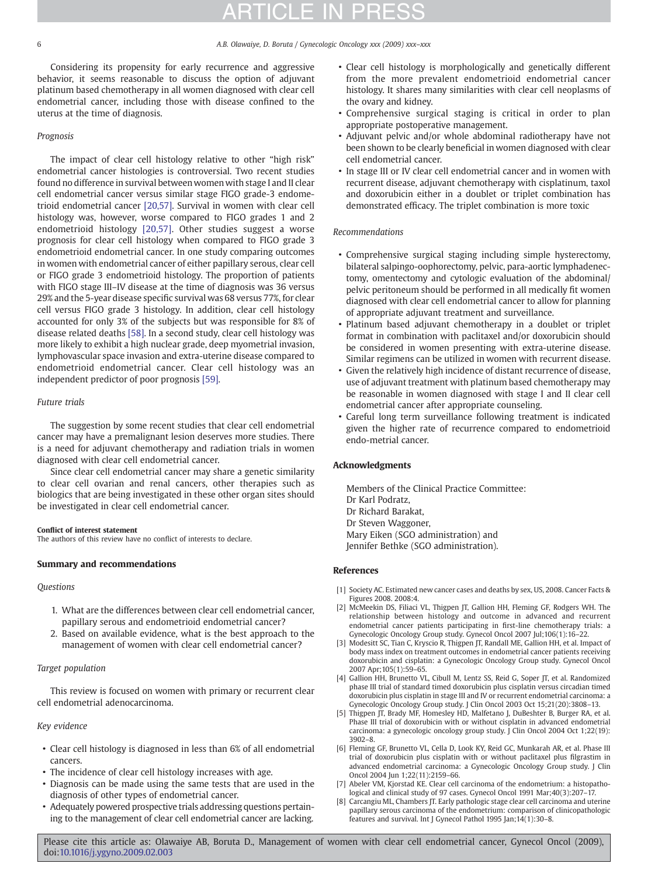<span id="page-5-0"></span>6 A.B. Olawaiye, D. Boruta / Gynecologic Oncology xxx (2009) xxx–xxx

Considering its propensity for early recurrence and aggressive behavior, it seems reasonable to discuss the option of adjuvant platinum based chemotherapy in all women diagnosed with clear cell endometrial cancer, including those with disease confined to the uterus at the time of diagnosis.

### Prognosis

The impact of clear cell histology relative to other "high risk" endometrial cancer histologies is controversial. Two recent studies found no difference in survival between women with stage I and II clear cell endometrial cancer versus similar stage FIGO grade-3 endometrioid endometrial cancer [\[20,57\].](#page-6-0) Survival in women with clear cell histology was, however, worse compared to FIGO grades 1 and 2 endometrioid histology [\[20,57\]](#page-6-0). Other studies suggest a worse prognosis for clear cell histology when compared to FIGO grade 3 endometrioid endometrial cancer. In one study comparing outcomes in women with endometrial cancer of either papillary serous, clear cell or FIGO grade 3 endometrioid histology. The proportion of patients with FIGO stage III–IV disease at the time of diagnosis was 36 versus 29% and the 5-year disease specific survival was 68 versus 77%, for clear cell versus FIGO grade 3 histology. In addition, clear cell histology accounted for only 3% of the subjects but was responsible for 8% of disease related deaths [\[58\].](#page-6-0) In a second study, clear cell histology was more likely to exhibit a high nuclear grade, deep myometrial invasion, lymphovascular space invasion and extra-uterine disease compared to endometrioid endometrial cancer. Clear cell histology was an independent predictor of poor prognosis [\[59\].](#page-6-0)

### Future trials

The suggestion by some recent studies that clear cell endometrial cancer may have a premalignant lesion deserves more studies. There is a need for adjuvant chemotherapy and radiation trials in women diagnosed with clear cell endometrial cancer.

Since clear cell endometrial cancer may share a genetic similarity to clear cell ovarian and renal cancers, other therapies such as biologics that are being investigated in these other organ sites should be investigated in clear cell endometrial cancer.

### Conflict of interest statement

The authors of this review have no conflict of interests to declare.

### Summary and recommendations

### Questions

- 1. What are the differences between clear cell endometrial cancer, papillary serous and endometrioid endometrial cancer?
- 2. Based on available evidence, what is the best approach to the management of women with clear cell endometrial cancer?

### Target population

This review is focused on women with primary or recurrent clear cell endometrial adenocarcinoma.

### Key evidence

- Clear cell histology is diagnosed in less than 6% of all endometrial cancers.
- The incidence of clear cell histology increases with age.
- Diagnosis can be made using the same tests that are used in the diagnosis of other types of endometrial cancer.
- Adequately powered prospective trials addressing questions pertaining to the management of clear cell endometrial cancer are lacking.
- Clear cell histology is morphologically and genetically different from the more prevalent endometrioid endometrial cancer histology. It shares many similarities with clear cell neoplasms of the ovary and kidney.
- Comprehensive surgical staging is critical in order to plan appropriate postoperative management.
- Adjuvant pelvic and/or whole abdominal radiotherapy have not been shown to be clearly beneficial in women diagnosed with clear cell endometrial cancer.
- In stage III or IV clear cell endometrial cancer and in women with recurrent disease, adjuvant chemotherapy with cisplatinum, taxol and doxorubicin either in a doublet or triplet combination has demonstrated efficacy. The triplet combination is more toxic

### Recommendations

- Comprehensive surgical staging including simple hysterectomy, bilateral salpingo-oophorectomy, pelvic, para-aortic lymphadenectomy, omentectomy and cytologic evaluation of the abdominal/ pelvic peritoneum should be performed in all medically fit women diagnosed with clear cell endometrial cancer to allow for planning of appropriate adjuvant treatment and surveillance.
- Platinum based adjuvant chemotherapy in a doublet or triplet format in combination with paclitaxel and/or doxorubicin should be considered in women presenting with extra-uterine disease. Similar regimens can be utilized in women with recurrent disease.
- Given the relatively high incidence of distant recurrence of disease, use of adjuvant treatment with platinum based chemotherapy may be reasonable in women diagnosed with stage I and II clear cell endometrial cancer after appropriate counseling.
- Careful long term surveillance following treatment is indicated given the higher rate of recurrence compared to endometrioid endo-metrial cancer.

### Acknowledgments

Members of the Clinical Practice Committee: Dr Karl Podratz, Dr Richard Barakat, Dr Steven Waggoner, Mary Eiken (SGO administration) and Jennifer Bethke (SGO administration).

### References

- [1] Society AC. Estimated new cancer cases and deaths by sex, US, 2008. Cancer Facts & Figures 2008. 2008:4.
- McMeekin DS, Filiaci VL, Thigpen JT, Gallion HH, Fleming GF, Rodgers WH. The relationship between histology and outcome in advanced and recurrent endometrial cancer patients participating in first-line chemotherapy trials: a Gynecologic Oncology Group study. Gynecol Oncol 2007 Jul;106(1):16–22.
- [3] Modesitt SC, Tian C, Kryscio R, Thigpen JT, Randall ME, Gallion HH, et al. Impact of body mass index on treatment outcomes in endometrial cancer patients receiving doxorubicin and cisplatin: a Gynecologic Oncology Group study. Gynecol Oncol 2007 Apr;105(1):59–65.
- [4] Gallion HH, Brunetto VL, Cibull M, Lentz SS, Reid G, Soper JT, et al. Randomized phase III trial of standard timed doxorubicin plus cisplatin versus circadian timed doxorubicin plus cisplatin in stage III and IV or recurrent endometrial carcinoma: a Gynecologic Oncology Group study. J Clin Oncol 2003 Oct 15;21(20):3808–13.
- [5] Thigpen JT, Brady MF, Homesley HD, Malfetano J, DuBeshter B, Burger RA, et al. Phase III trial of doxorubicin with or without cisplatin in advanced endometrial carcinoma: a gynecologic oncology group study. J Clin Oncol 2004 Oct 1;22(19): 3902–8.
- [6] Fleming GF, Brunetto VL, Cella D, Look KY, Reid GC, Munkarah AR, et al. Phase III trial of doxorubicin plus cisplatin with or without paclitaxel plus filgrastim in advanced endometrial carcinoma: a Gynecologic Oncology Group study. J Clin Oncol 2004 Jun 1;22(11):2159–66.
- [7] Abeler VM, Kjorstad KE. Clear cell carcinoma of the endometrium: a histopathological and clinical study of 97 cases. Gynecol Oncol 1991 Mar;40(3):207–17.
- [8] Carcangiu ML, Chambers JT. Early pathologic stage clear cell carcinoma and uterine papillary serous carcinoma of the endometrium: comparison of clinicopathologic features and survival. Int J Gynecol Pathol 1995 Jan;14(1):30–8.